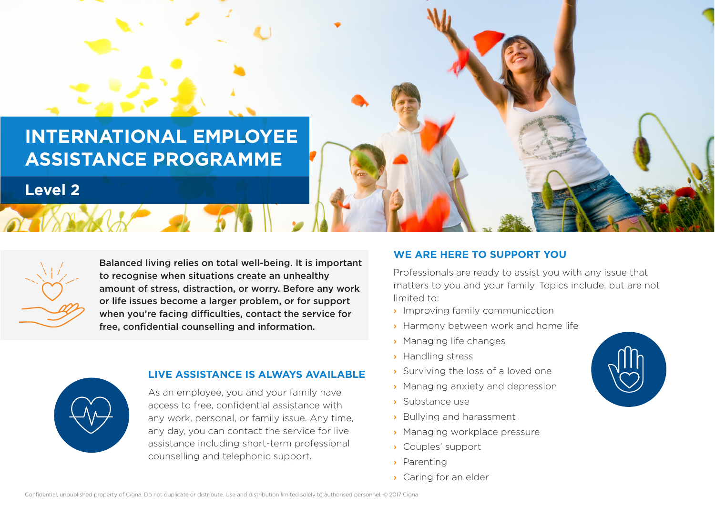# **INTERNATIONAL EMPLOYEE ASSISTANCE PROGRAMME**

**Level 2**



Balanced living relies on total well-being. It is important to recognise when situations create an unhealthy amount of stress, distraction, or worry. Before any work or life issues become a larger problem, or for support when you're facing difficulties, contact the service for free, confidential counselling and information.



## **LIVE ASSISTANCE IS ALWAYS AVAILABLE**

As an employee, you and your family have access to free, confidential assistance with any work, personal, or family issue. Any time, any day, you can contact the service for live assistance including short-term professional counselling and telephonic support.

# **WE ARE HERE TO SUPPORT YOU**

Professionals are ready to assist you with any issue that matters to you and your family. Topics include, but are not limited to:

- › Improving family communication
- › Harmony between work and home life
- › Managing life changes
- › Handling stress
- › Surviving the loss of a loved one
- › Managing anxiety and depression
- › Substance use
- › Bullying and harassment
- › Managing workplace pressure
- › Couples' support
- › Parenting
- › Caring for an elder

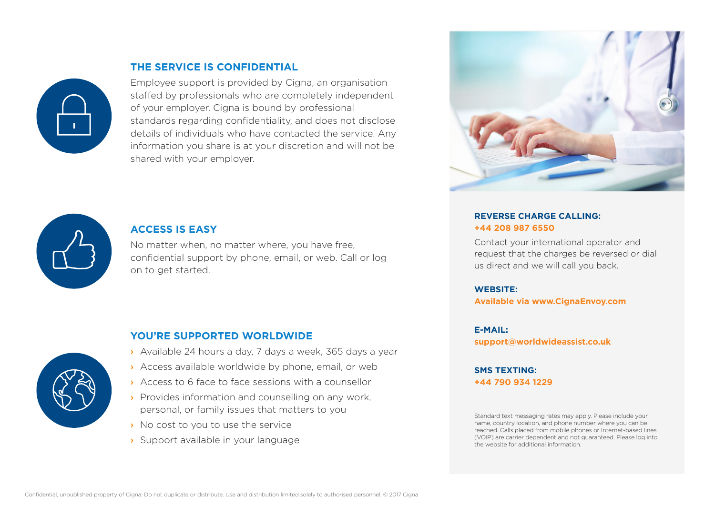

#### **THE SERVICE IS CONFIDENTIAL**

Employee support is provided by Cigna, an organisation staffed by professionals who are completely independent of your employer. Cigna is bound by professional standards regarding confidentiality, and does not disclose details of individuals who have contacted the service. Any information you share is at your discretion and will not be shared with your employer.



#### **ACCESS IS EASY**

No matter when, no matter where, you have free, confidential support by phone, email, or web. Call or log on to get started.



## **YOU'RE SUPPORTED WORLDWIDE**

- › Available 24 hours a day, 7 days a week, 365 days a year
- › Access available worldwide by phone, email, or web
- › Access to 6 face to face sessions with a counsellor
- **Provides information and counselling on any work,** personal, or family issues that matters to you
- › No cost to you to use the service
- › Support available in your language



#### **REVERSE CHARGE CALLING: +44 208 987 6550**

Contact your international operator and request that the charges be reversed or dial us direct and we will call you back.

**WEBSITE: Available via www.CignaEnvoy.com**

#### **E-MAIL: [support@worldwideassist.co.uk](mailto:support%40worldwideassist.co.uk?subject=)**

# **SMS TEXTING: +44 790 934 1229**

Standard text messaging rates may apply. Please include your name, country location, and phone number where you can be reached. Calls placed from mobile phones or Internet-based lines (VOIP) are carrier dependent and not guaranteed. Please log into the website for additional information.